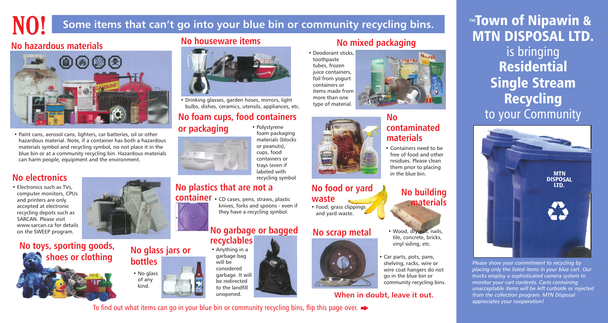

# **NO! Some items that can't go into your blue bin or community recycling bins.**

# **No plastics that are not a**

**container** • CD cases, pens, straws, plastic

knives, forks and spoons - even if they have a recycling symbol.

• Food, grass clippings and yard waste.

# **No glass jars or**





# **No houseware items**



• Drinking glasses, garden hoses, mirrors, light bulbs, dishes, ceramics, utensils, appliances, etc.

**No food or yard**

**waste**





# **recyclables**



unopened.





- Wood, drywall, nails, tile, concrete, bricks, vinyl siding, etc.
- Car parts, pots, pans, shelving, racks, wire or wire coat hangers do not go in the blue bin or community recycling bins.

# **No foam cups, food containers**

# **or packaging** • Polystyrene

foam packaging materials (blocks or peanuts), cups, food containers or trays (even if labeled with



• Electronics such as TVs, computer monitors, CPUs and printers are only accepted at electronic recycling depots such as SARCAN. Please visit www.sarcan.ca for details on the SWEEP program.

# **No contaminated materials**

• Containers need to be free of food and other residues. Please clean them prior to placing in the blue bin.

# **No hazardous materials**



• Paint cans, aerosol cans, lighters, car batteries, oil or other hazardous material. Note, if a container has both a hazardous materials symbol and recycling symbol, no not place it in the blue bin or at a community recycling bin. Hazardous materials can harm people, equipment and the environment.

# **No mixed packaging**

• Deodorant sticks, toothpaste tubes, frozen juice containers, foil from yogurt containers or items made from more than one type of material.

**No toys, sporting goods,**

 **shoes or clothing**



**When in doubt, leave it out.**

To find out what items can go in your blue bin or community recycling bins, flip this page over.  $\rightarrow$ 

Town of Nipawin & MTN DISPOSAL LTD. is bringing Residential Single Stream Recycling to your Community **THE**

*Please show your commitment to recycling by placing only the listed items in your blue cart. Our trucks employ a sophisticated camera system to monitor your cart contents. Carts containing unacceptable items will be left curbside or rejected from the collection program. MTN Disposal appreciates your cooperation!*